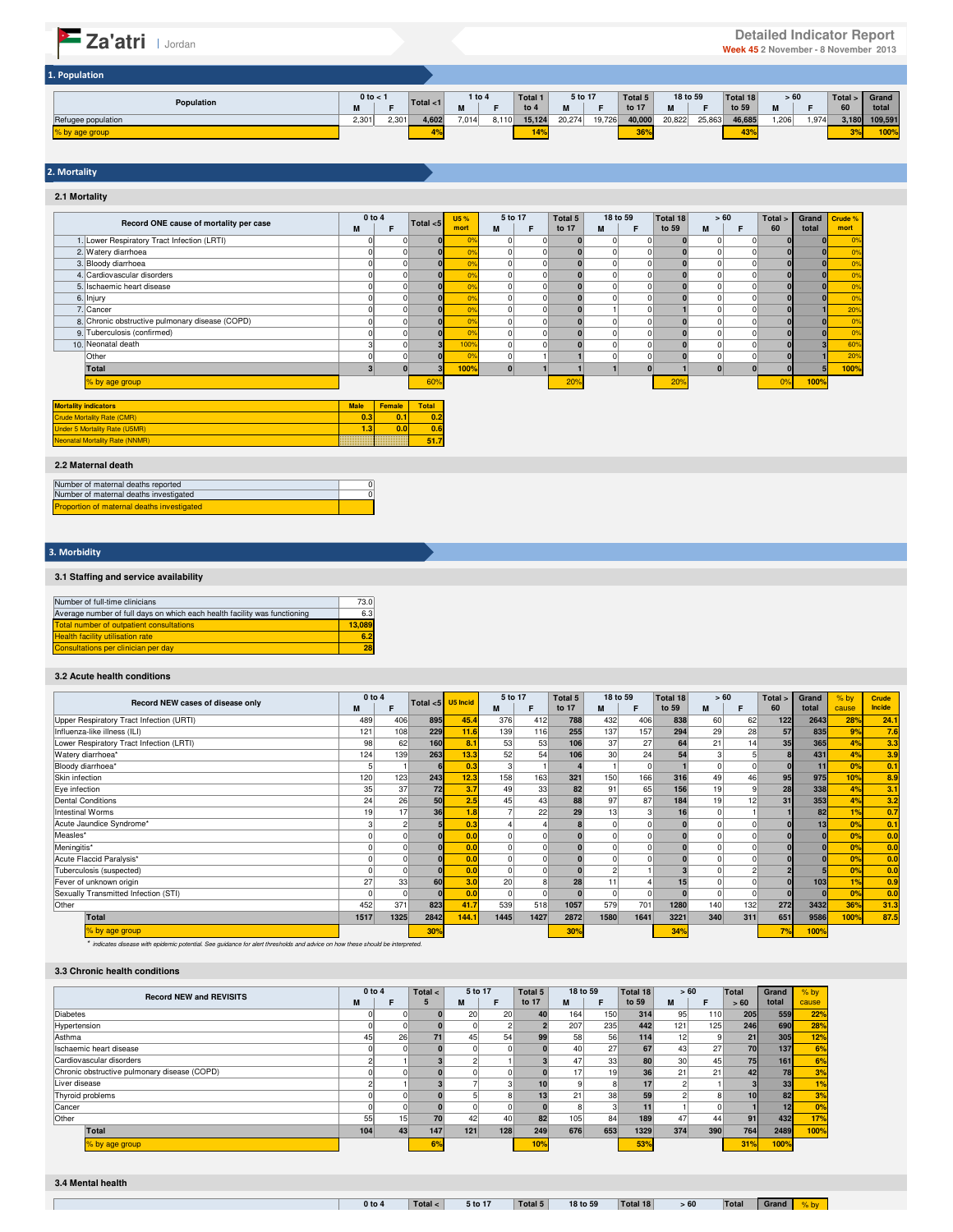| 1. Population      |                  |       |             |            |       |         |         |        |         |          |        |          |      |       |         |         |
|--------------------|------------------|-------|-------------|------------|-------|---------|---------|--------|---------|----------|--------|----------|------|-------|---------|---------|
|                    | $0$ to $<$ 1     |       | Total $<$ 1 | $1$ to $4$ |       | Total 1 | 5 to 17 |        | Total 5 | 18 to 59 |        | Total 18 | >60  |       | Total > | Grand   |
| Population         | <b>BA</b><br>IVI |       |             | M          |       | to 4    |         |        | to 17   | M        |        | to 59    |      |       | 60      | total   |
| Refugee population | 2,301            | 2,301 | 4,602       | 7,014      | 8,110 | 15,124  | 20,274  | 19,726 | 40,000  | 20,822   | 25,863 | 46,685   | .206 | 1,974 | 3,180   | 109,591 |
| % by age group     |                  |       |             |            |       | 14%     |         |        | 36%     |          |        | 43%      |      |       | 20/     | 100%    |

# 2. Mortality

**2.1 Mortality**

|                                                 | 0 to 4 |          |                 | U5 %           | 5 to 17 | Total 5 | 18 to 59 |   | Total 18 | >60 |   | Total > | Grand    | Crude %        |
|-------------------------------------------------|--------|----------|-----------------|----------------|---------|---------|----------|---|----------|-----|---|---------|----------|----------------|
| Record ONE cause of mortality per case          | M      |          | Total < 5       | mort           | M       | to 17   | M        | E | to 59    | M   | F | 60      | total    | mort           |
| . Lower Respiratory Tract Infection (LRTI)      |        |          |                 |                |         |         |          | n |          |     |   |         |          | 0 <sup>9</sup> |
| 2. Watery diarrhoea                             |        |          |                 | 0%             |         |         |          |   |          |     |   |         | $\bf{0}$ | 0 <sup>9</sup> |
| 3. Bloody diarrhoea                             |        |          |                 | $\alpha$       |         |         |          |   |          |     |   |         |          | 0 <sup>9</sup> |
| 4. Cardiovascular disorders                     |        |          |                 | 0 <sup>9</sup> |         |         |          |   |          |     |   |         |          | 0 <sup>9</sup> |
| 5. Ischaemic heart disease                      |        |          |                 | 0 <sup>9</sup> |         |         |          |   |          |     |   |         |          | 0%             |
| 6. Injury                                       |        |          |                 | $\alpha$       |         |         |          |   |          |     |   |         |          | 0 <sup>9</sup> |
| 7. Cancer                                       |        |          |                 | 0 <sup>9</sup> |         |         |          |   |          |     |   |         |          | 20%            |
| 8. Chronic obstructive pulmonary disease (COPD) |        |          |                 | ×.             |         |         |          |   |          |     |   |         |          | 0%             |
| 9. Tuberculosis (confirmed)                     |        |          |                 | ×.             |         |         |          |   |          |     |   |         |          | 0 <sup>9</sup> |
| 10. Neonatal death                              |        |          |                 | 100%           |         |         |          |   |          |     |   |         |          | 60%            |
| Other                                           |        |          |                 | 0 <sup>9</sup> |         |         |          |   |          |     |   |         |          | 20%            |
| Total                                           |        |          |                 | 100%           |         |         |          |   |          |     |   |         |          | 100%           |
| % by age group                                  |        |          | 60%             |                |         | 20%     |          |   | 20%      |     |   | 0%      | 100%     |                |
| Mortality indicators                            | Mole   | Esmala I | T <sub>at</sub> |                |         |         |          |   |          |     |   |         |          |                |

| <b>Mortality indicators</b>           | <b>Male</b> | <b>Female</b> | Total |
|---------------------------------------|-------------|---------------|-------|
| <b>Crude Mortality Rate (CMR)</b>     | 0.3         | 0.1           | 0.2   |
| <b>Under 5 Mortality Rate (U5MR)</b>  | 1.31        | 0.0           | 0.6   |
| <b>Neonatal Mortality Rate (NNMR)</b> |             |               | 51.7  |

#### **2.2 Maternal death**

| Number of maternal deaths reported                |  |
|---------------------------------------------------|--|
| Number of maternal deaths investigated            |  |
| <b>Proportion of maternal deaths investigated</b> |  |

# 3. Morbidity

# **3.1 Staffing and service availability**

| Number of full-time clinicians                                            | 73.0   |
|---------------------------------------------------------------------------|--------|
| Average number of full days on which each health facility was functioning | 6.3    |
| Total number of outpatient consultations                                  | 13.089 |
| <b>Health facility utilisation rate</b>                                   | 6.2    |
| Consultations per clinician per day                                       | 28     |

# **3.2 Acute health conditions**

|                                          | 0 to 4 |      |             |          | 5 to 17 |      | <b>Total 5</b> |                 | 18 to 59 | Total 18 | >60 |                 | Total > | Grand           | $%$ by | Crude         |
|------------------------------------------|--------|------|-------------|----------|---------|------|----------------|-----------------|----------|----------|-----|-----------------|---------|-----------------|--------|---------------|
| Record NEW cases of disease only         | M      |      | Total $<$ 5 | U5 Incid | M       |      | to 17          | м               | F        | to 59    | M   |                 | 60      | total           | cause  | <b>Incide</b> |
| Upper Respiratory Tract Infection (URTI) | 489    | 406  | 895         | 45.4     | 376     | 412  | 788            | 432             | 406      | 838      | 60  | 62              | 122     | 2643            | 28%    | 24.1          |
| Influenza-like illness (ILI)             | 121    | 108  | 229         | 11.6     | 139     | 116  | 255            | 137             | 157      | 294      | 29  | 28              | 57      | 835             | 9%     | 7.6           |
| Lower Respiratory Tract Infection (LRTI) | 98     | 62   | 160         | 8.1      | 53      | 53   | 106            | 37              | 27       | 64       | 21  | 14 <sub>1</sub> | 35      | 365             | 4%     | 3.3           |
| Watery diarrhoea*                        | 124    | 139  | 263         | 13.3     | 52      | 54   | 106            | 30 <sub>1</sub> | 24       | 54       |     |                 |         | 431             | 4%     | 3.9           |
| Bloody diarrhoea*                        |        |      |             | 0.3      | 3       |      |                |                 |          |          |     |                 |         | 11              | 0%     | 0.1           |
| Skin infection                           | 120    | 123  | 243         | 12.3     | 158     | 163  | 321            | 150             | 166      | 316      | 49  | 46              | 95      | 975             | 10%    | 8.9           |
| Eye infection                            | 35     | 37   | 72          | 3.7      | 49      | 33   | 82             | 91              | 65       | 156      | 19  |                 | 28      | 338             | 4%     | 3.1           |
| <b>Dental Conditions</b>                 | 24     | 26   | 50          | 2.5      | 45      | 43   | 88             | 97              | 87       | 184      | 19  | 12              | 31      | 353             | 4%     | 3.2           |
| Intestinal Worms                         | 19     | 17   | 36          | 1.8      |         | 22   | 29             | 13              |          | 16       |     |                 |         | 82              | 1%     | 0.7           |
| Acute Jaundice Syndrome*                 |        |      |             | 0.3      |         |      |                |                 |          |          |     |                 |         | 13 <sub>h</sub> | 0%     | 0.1           |
| Measles*                                 |        |      |             | 0.0      |         |      |                |                 |          |          |     |                 |         | $\overline{0}$  | 0%     | 0.0           |
| Meningitis*                              |        |      |             | 0.0      |         |      |                |                 |          |          |     |                 |         | $\bf{0}$        | 0%     | 0.0           |
| Acute Flaccid Paralysis*                 |        |      |             | 0.0      |         |      |                |                 |          |          |     |                 |         |                 | 0%     | 0.0           |
| Tuberculosis (suspected)                 |        |      |             | 0.0      |         |      |                |                 |          |          |     |                 |         |                 | 0%     | 0.0           |
| Fever of unknown origin                  | 27     | 33   | 60          | 3.0      | 20      |      | 28             | 11              |          | 15       |     |                 |         | 103             | 1%     | 0.9           |
| Sexually Transmitted Infection (STI)     |        |      |             | 0.0      |         |      |                |                 |          |          |     |                 |         |                 | 0%     | 0.0           |
| Other                                    | 452    | 371  | 823         | 41.7     | 539     | 518  | 1057           | 579             | 701      | 1280     | 140 | 132             | 272     | 3432            | 36%    | 31.3          |
| Total                                    | 1517   | 1325 | 2842        | 144.1    | 1445    | 1427 | 2872           | 1580            | 1641     | 3221     | 340 | 311             | 651     | 9586            | 100%   | 87.5          |
| % by age group                           |        |      | 30%         |          |         |      | 30%            |                 |          | 34%      |     |                 | 7%      | 100%            |        |               |

\* indicates disease with epidemic potential. See guidance for alert thresholds and advice on how these should be interpreted.

#### **3.3 Chronic health conditions**

|                                              | $0$ to $4$ |                 | Total $\leq$ | 5 to 17 |              | Total 5 | 18 to 59 |                 | Total 18 | >60             |                  | Total | Grand           | $%$ by |
|----------------------------------------------|------------|-----------------|--------------|---------|--------------|---------|----------|-----------------|----------|-----------------|------------------|-------|-----------------|--------|
| <b>Record NEW and REVISITS</b>               | M          | F               |              | M       | F            | to 17   | M        | F               | to 59    | M               | F                | > 60  | total           | cause  |
| <b>Diabetes</b>                              |            |                 |              | 20      | 20           | 40      | 164      | 150             | 314      | 95              | 110              | 205   | 559             | 22%    |
| Hypertension                                 |            |                 |              |         |              |         | 207      | 235             | 442      | 121             | 125 <sub>h</sub> | 246   | 690             | 28%    |
| Asthma                                       | 45         | 26              | 71           | 45      | 54           | 99      | 58       | 56              | 114      | 12              | q                | 21    | 305             | 12%    |
| Ischaemic heart disease                      |            |                 |              |         |              |         | 40       | 27              | 67       | 43              | 27               | 70    | 137             | 6%     |
| Cardiovascular disorders                     |            |                 |              |         |              |         | 47       | 33 <sub>1</sub> | 80       | 30 <sup>1</sup> | 45               | 75    | 161             | 6%     |
| Chronic obstructive pulmonary disease (COPD) |            |                 |              |         |              |         | 17       | 19              | 36       | 21              | 21               | 42    | 78              | 3%     |
| Liver disease                                |            |                 |              |         | 3            |         |          |                 |          |                 |                  |       | 33              | 1%     |
| Thyroid problems                             |            |                 |              |         | $\mathbf{8}$ |         | 21       | 38              | 59       |                 |                  | 10    | 82              | 3%     |
| Cancer                                       |            |                 |              |         |              |         |          |                 |          |                 |                  |       | 12 <sub>h</sub> | 0%     |
| Other                                        | 55         | 15 <sub>h</sub> | 70           | 42      | 40           | 82      | 105      | 84              | 189      | 47              | 44               | 91    | 432             | 17%    |
| Total                                        | 104        | 43              | 147          | $121$   | 128          | 249     | 676      | 653             | 1329     | 374             | 390              | 764   | 2489            | 100%   |
| % by age group                               |            |                 | 6%           |         |              | 10%     |          |                 | 53%      |                 |                  | 31%   | 100%            |        |

 $\sqrt{2}$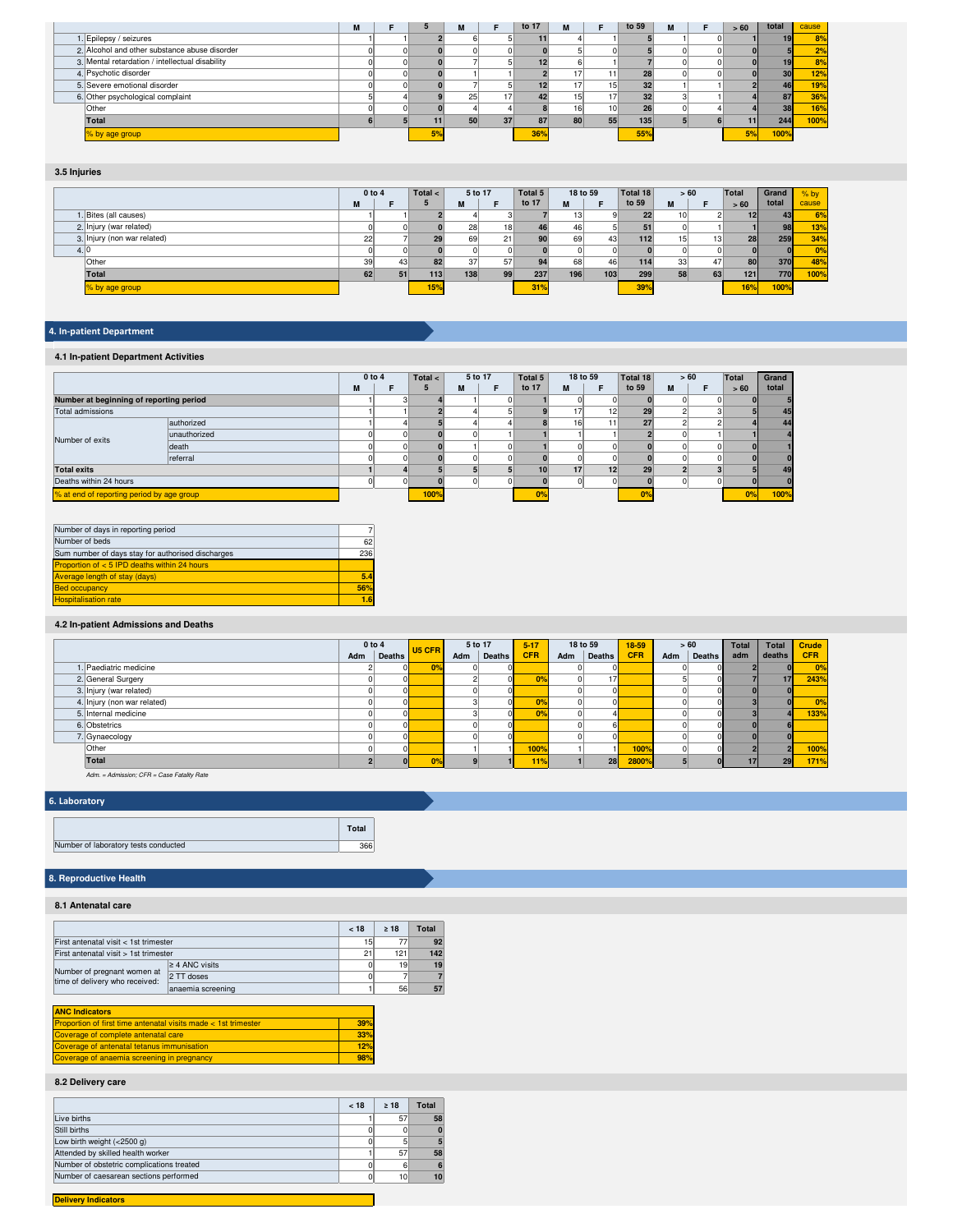|                                                 | IМ |    | M   |    | to 17 | M  |                 | to 59           | M | >60 | total | cause |
|-------------------------------------------------|----|----|-----|----|-------|----|-----------------|-----------------|---|-----|-------|-------|
| 1. Epilepsy / seizures                          |    |    |     |    |       |    |                 |                 |   |     |       | 8%    |
| 2. Alcohol and other substance abuse disorder   |    |    |     |    |       |    |                 |                 |   |     |       | 2%    |
| 3. Mental retardation / intellectual disability |    |    |     |    |       |    |                 |                 |   |     |       | 8%    |
| 4. Psychotic disorder                           |    |    |     |    |       |    |                 | 28              |   |     | 30    | 12%   |
| 5. Severe emotional disorder                    |    |    |     |    |       |    | 15 <sub>h</sub> | 32 <sub>1</sub> |   |     | 46    | 19%   |
| 6. Other psychological complaint                |    |    | 251 |    |       | 15 |                 | 32              |   |     | 87    | 36%   |
| Other                                           |    |    |     |    |       | 16 | 10 <sup>1</sup> | 26              |   |     | 38    | 16%   |
| Total                                           |    |    | 50  | 37 |       | 80 | 55              | 135             |   |     | 244   | 100%  |
| % by age group                                  |    | 5% |     |    | 36%   |    |                 | 55%             |   | 5%  | 100%  |       |

# **3.5 Injuries**

|      |                             | $0$ to $4$ |    | Total $\lt$ | 5 to 17   |    | Total 5 | 18 to 59 |     | Total 18 |                 | >60 | Total | Grand | $%$ by |
|------|-----------------------------|------------|----|-------------|-----------|----|---------|----------|-----|----------|-----------------|-----|-------|-------|--------|
|      |                             | M          | Е  |             | M<br>IVI. | Е  | to 17   | M        | Е   | to 59    | M               | F   | > 60  | total | cause  |
|      | 1. Bites (all causes)       |            |    |             |           |    |         | 13       |     | 22       | 10 <sup>1</sup> |     | 12    | 43    | 6%     |
|      | 2. Injury (war related)     |            |    |             | 28        | 18 | 46      | 46       |     |          |                 |     |       | 98    | 13%    |
|      | 3. Injury (non war related) | 221        |    | 29          | 69        | 21 | 90      | 69       | 43  | 112      | 15              | 13  | 28    | 259   | 34%    |
| 4.10 |                             |            |    |             |           |    |         |          | n   |          |                 |     |       |       | 0%     |
|      | Other                       | 39         | 43 | 82          | 37        | 57 | 94      | 68       | 46  | 114      | 33 <sup>1</sup> | 47  | 80    | 370   | 48%    |
|      | Total                       | 62         | 51 | 113         | 138       | 99 | 237     | 196      | 103 | 299      | 58              | 63  | $121$ | 770   | 100%   |
|      | % by age group              |            |    | 15%         |           |    | 31%     |          |     | 39%      |                 |     | 16%   | 100%  |        |

# 4. In-patient Department

# **4.1 In-patient Department Activities**

|                                           |              |   | 0 to 4 | Total $\lt$ |   | 5 to 17 | Total 5         |                 | 18 to 59 | Total 18 |   | > 60 | <b>Total</b> | Grand |
|-------------------------------------------|--------------|---|--------|-------------|---|---------|-----------------|-----------------|----------|----------|---|------|--------------|-------|
|                                           |              | M | Е      |             | M |         | to 17           | M               |          | to 59    | M | Е    | > 60         | total |
| Number at beginning of reporting period   |              |   |        |             |   |         |                 |                 |          |          |   |      |              |       |
| Total admissions                          |              |   |        |             |   |         |                 |                 | 12       | 29       |   |      |              | 45    |
|                                           | authorized   |   |        |             |   |         |                 | 16 <sup>1</sup> | $+ +$    | 27       |   |      |              | 44    |
| Number of exits                           | unauthorized |   |        |             |   |         |                 |                 |          |          |   |      |              |       |
|                                           | death        |   |        |             |   |         |                 |                 |          |          |   |      |              |       |
|                                           | referral     |   |        |             |   |         |                 |                 |          |          |   |      |              |       |
| <b>Total exits</b>                        |              |   |        |             |   |         | 10 <sup>1</sup> |                 | 12       | 29       |   |      |              | 49    |
| Deaths within 24 hours                    |              |   |        |             |   |         |                 |                 |          |          |   |      |              |       |
| % at end of reporting period by age group |              |   |        | 100%        |   |         | 0%              |                 |          | 0%       |   |      | 0%           | 100%  |

| Number of days in reporting period                |     |
|---------------------------------------------------|-----|
| Number of beds                                    | 62  |
| Sum number of days stay for authorised discharges | 236 |
| Proportion of < 5 IPD deaths within 24 hours      |     |
| <b>Average length of stay (days)</b>              | 5.4 |
| <b>Bed occupancy</b>                              | 56% |
| <b>Hospitalisation rate</b>                       |     |

# **4.2 In-patient Admissions and Deaths**

|                             | 0 to 4 |        | U5 CFR         | 5 to 17 |               | $5 - 17$   |     | 18 to 59        | $18 - 59$  |     | > 60          | <b>Total</b> | <b>Total</b>    | Crude      |
|-----------------------------|--------|--------|----------------|---------|---------------|------------|-----|-----------------|------------|-----|---------------|--------------|-----------------|------------|
|                             | Adm    | Deaths |                | Adm     | <b>Deaths</b> | <b>CFR</b> | Adm | <b>Deaths</b>   | <b>CFR</b> | Adm | <b>Deaths</b> | adm          | deaths          | <b>CFR</b> |
| I. Paediatric medicine      |        |        | 0%             |         |               |            |     |                 |            |     |               |              |                 | 0%         |
| 2. General Surgery          |        |        |                |         |               | 0%         |     | 17 <sub>h</sub> |            |     |               |              | 17 <sub>1</sub> | 243%       |
| 3. Injury (war related)     |        |        |                |         |               |            |     |                 |            |     |               |              |                 |            |
| 4. Injury (non war related) |        |        |                |         |               | 0%         |     |                 |            |     |               |              |                 | 0%         |
| 5. Internal medicine        |        |        |                |         |               | 0%         |     |                 |            |     |               |              |                 | 133%       |
| 6. Obstetrics               |        |        |                |         |               |            |     |                 |            |     |               |              |                 |            |
| 7. Gynaecology              |        |        |                |         |               |            |     |                 |            |     |               |              |                 |            |
| Other                       |        |        |                |         |               | 100%       |     |                 | 100%       |     |               |              |                 | 100%       |
| <b>Total</b>                |        |        | 0 <sup>9</sup> |         |               | 11%        |     | 28              | 2800%      |     |               |              | 29              | 171%       |

Adm. = Admission; CFR = Case Fatality Rate

# 6. Laboratory

|                                      | <b>c</b> otal |
|--------------------------------------|---------------|
| Number of laboratory tests conducted |               |

# **8. Reproductive Health**

# **8.1 Antenatal care**

|                                                               |                                       | < 18 | >18 | <b>Total</b> |
|---------------------------------------------------------------|---------------------------------------|------|-----|--------------|
| First antenatal visit < 1st trimester                         |                                       | 15   | 77. | 92           |
|                                                               | First antenatal visit > 1st trimester |      |     |              |
| Number of pregnant women at<br>time of delivery who received: | $\geq 4$ ANC visits                   |      | 19  | 19           |
|                                                               | 2 TT doses                            |      |     |              |
|                                                               | anaemia screening                     |      | 56  | 57           |

#### **ANC Indicators**

| Proportion of first time antenatal visits made $<$ 1st trimester | 39% |
|------------------------------------------------------------------|-----|
| Coverage of complete antenatal care                              | 33% |
| Coverage of antenatal tetanus immunisation                       | 12% |
| Coverage of anaemia screening in pregnancy                       | 98% |

# **8.2 Delivery care**

|                                           | < 18 | >18 | <b>Total</b> |
|-------------------------------------------|------|-----|--------------|
| Live births                               |      | 57  | 58           |
| Still births                              |      |     | $\mathbf{0}$ |
| Low birth weight (<2500 g)                |      | 5   |              |
| Attended by skilled health worker         |      | 57  | 58           |
| Number of obstetric complications treated |      | 6   | 6            |
| Number of caesarean sections performed    |      | 10  | 10           |
|                                           |      |     |              |